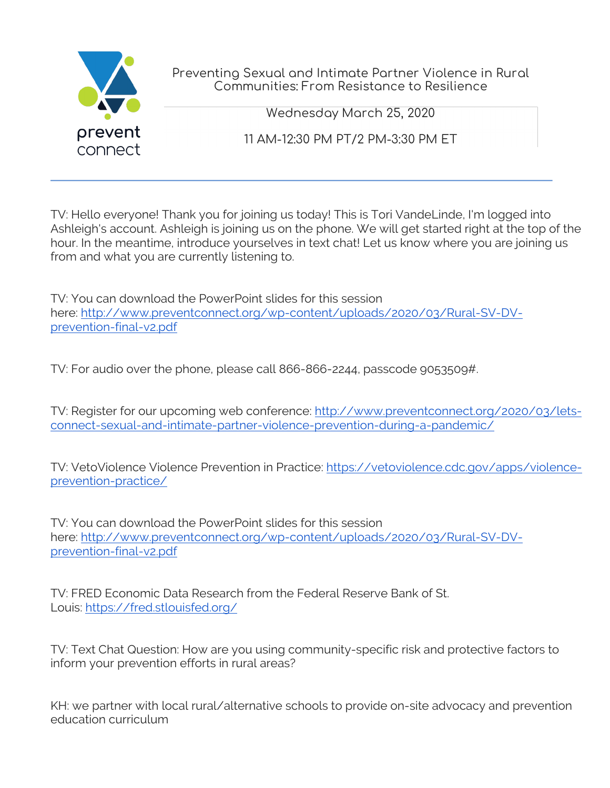

Preventing Sexual and Intimate Partner Violence in Rural Communities: From Resistance to Resilience

Wednesday March 25, 2020

11 AM-12:30 PM PT/2 PM-3:30 PM ET

TV: Hello everyone! Thank you for joining us today! This is Tori VandeLinde, I'm logged into Ashleigh's account. Ashleigh is joining us on the phone. We will get started right at the top of the hour. In the meantime, introduce yourselves in text chat! Let us know where you are joining us from and what you are currently listening to.

TV: You can download the PowerPoint slides for this session here: http://www.preventconnect.org/wp-content/uploads/2020/03/Rural-SV-DVprevention-final-v2.pdf

TV: For audio over the phone, please call 866-866-2244, passcode 9053509#.

TV: Register for our upcoming web conference: http://www.preventconnect.org/2020/03/letsconnect-sexual-and-intimate-partner-violence-prevention-during-a-pandemic/

TV: VetoViolence Violence Prevention in Practice: https://vetoviolence.cdc.gov/apps/violenceprevention-practice/

TV: You can download the PowerPoint slides for this session here: http://www.preventconnect.org/wp-content/uploads/2020/03/Rural-SV-DVprevention-final-v2.pdf

TV: FRED Economic Data Research from the Federal Reserve Bank of St. Louis: https://fred.stlouisfed.org/

TV: Text Chat Question: How are you using community-specific risk and protective factors to inform your prevention efforts in rural areas?

KH: we partner with local rural/alternative schools to provide on-site advocacy and prevention education curriculum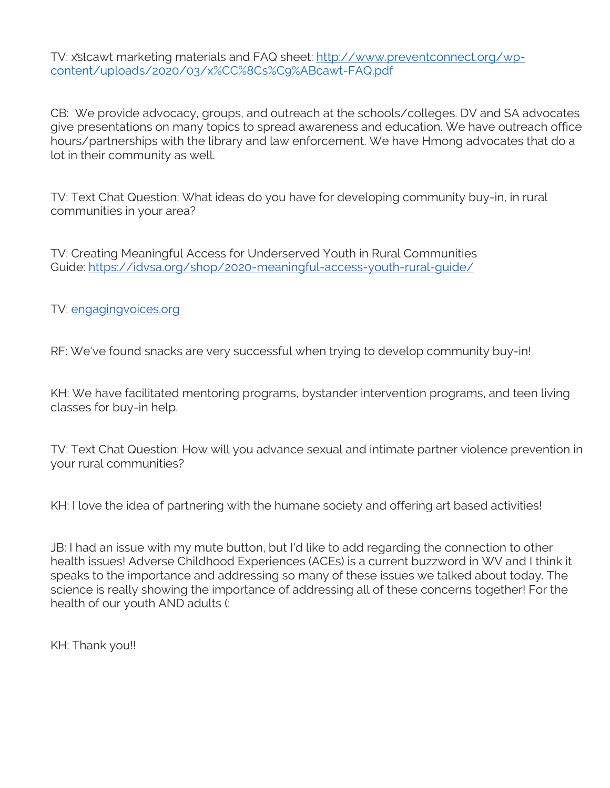TV: x̌sɫcawt marketing materials and FAQ sheet: http://www.preventconnect.org/wpcontent/uploads/2020/03/x%CC%8Cs%C9%ABcawt-FAQ.pdf

CB: We provide advocacy, groups, and outreach at the schools/colleges. DV and SA advocates give presentations on many topics to spread awareness and education. We have outreach office hours/partnerships with the library and law enforcement. We have Hmong advocates that do a lot in their community as well.

TV: Text Chat Question: What ideas do you have for developing community buy-in, in rural communities in your area?

TV: Creating Meaningful Access for Underserved Youth in Rural Communities Guide: https://idvsa.org/shop/2020-meaningful-access-youth-rural-guide/

TV: engagingvoices.org

RF: We've found snacks are very successful when trying to develop community buy-in!

KH: We have facilitated mentoring programs, bystander intervention programs, and teen living classes for buy-in help.

TV: Text Chat Question: How will you advance sexual and intimate partner violence prevention in your rural communities?

KH: I love the idea of partnering with the humane society and offering art based activities!

JB: I had an issue with my mute button, but I'd like to add regarding the connection to other health issues! Adverse Childhood Experiences (ACEs) is a current buzzword in WV and I think it speaks to the importance and addressing so many of these issues we talked about today. The science is really showing the importance of addressing all of these concerns together! For the health of our youth AND adults (:

KH: Thank you!!